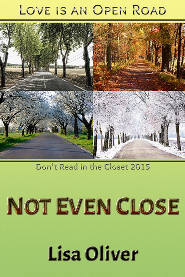# LOVE IS AN OPEN ROAD



# Don't Read in the Closet 2015

# **NOT EVEN CLOSE**

# **Lisa Oliver**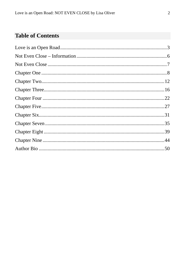### **Table of Contents**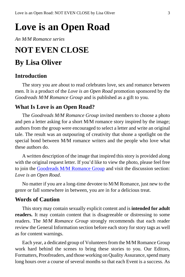# <span id="page-2-0"></span>**Love is an Open Road**

*An M/M Romance series*

## **NOT EVEN CLOSE**

## **By Lisa Oliver**

### **Introduction**

The story you are about to read celebrates love, sex and romance between men. It is a product of the *Love is an Open Road* promotion sponsored by the *Goodreads M/M Romance Group* and is published as a gift to you.

### **What Is Love is an Open Road?**

The *Goodreads M/M Romance Group* invited members to choose a photo and pen a letter asking for a short M/M romance story inspired by the image; authors from the group were encouraged to select a letter and write an original tale. The result was an outpouring of creativity that shone a spotlight on the special bond between M/M romance writers and the people who love what these authors do.

A written description of the image that inspired this story is provided along with the original request letter. If you'd like to view the photo, please feel free to join the [Goodreads M/M Romance Group](http://www.goodreads.com/group/show/20149-m-m-romance) and visit the discussion section: *Love is an Open Road*.

No matter if you are a long-time devotee to M/M Romance, just new to the genre or fall somewhere in between, you are in for a delicious treat.

### **Words of Caution**

This story may contain sexually explicit content and is **intended for adult readers.** It may contain content that is disagreeable or distressing to some readers. The *M/M Romance Group* strongly recommends that each reader review the General Information section before each story for story tags as well as for content warnings.

Each year, a dedicated group of Volunteers from the M/M Romance Group work hard behind the scenes to bring these stories to you. Our Editors, Formatters, Proofreaders, and those working on Quality Assurance, spend many long hours over a course of several months so that each Event is a success. As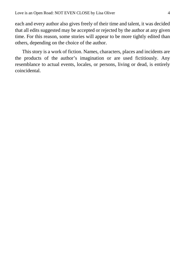each and every author also gives freely of their time and talent, it was decided that all edits suggested may be accepted or rejected by the author at any given time. For this reason, some stories will appear to be more tightly edited than others, depending on the choice of the author.

This story is a work of fiction. Names, characters, places and incidents are the products of the author's imagination or are used fictitiously. Any resemblance to actual events, locales, or persons, living or dead, is entirely coincidental.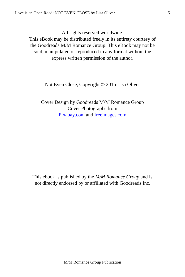All rights reserved worldwide.

This eBook may be distributed freely in its entirety courtesy of the Goodreads M/M Romance Group. This eBook may not be sold, manipulated or reproduced in any format without the express written permission of the author.

Not Even Close, Copyright © 2015 Lisa Oliver

Cover Design by Goodreads M/M Romance Group Cover Photographs from [Pixabay.com](http://pixabay.com/en/) and [freeimages.com](http://www.freeimages.com/)

This ebook is published by the *M/M Romance Group* and is not directly endorsed by or affiliated with Goodreads Inc.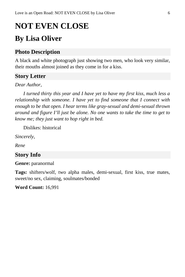# <span id="page-5-0"></span>**NOT EVEN CLOSE**

# **By Lisa Oliver**

### **Photo Description**

A black and white photograph just showing two men, who look very similar, their mouths almost joined as they come in for a kiss.

### **Story Letter**

*Dear Author*,

*I turned thirty this year and I have yet to have my first kiss, much less a relationship with someone. I have yet to find someone that I connect with enough to be that open. I hear terms like gray-sexual and demi-sexual thrown around and figure I'll just be alone. No one wants to take the time to get to know me; they just want to hop right in bed.*

Dislikes: historical

*Sincerely,*

*Rene*

### **Story Info**

**Genre:** paranormal

**Tags:** shifters/wolf, two alpha males, demi-sexual, first kiss, true mates, sweet/no sex, claiming, soulmates/bonded

**Word Count:** 16,991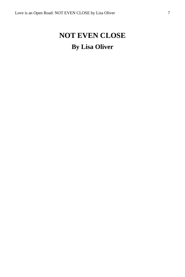# <span id="page-6-0"></span>**NOT EVEN CLOSE By Lisa Oliver**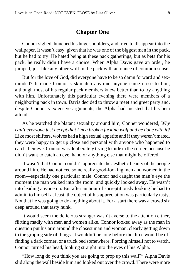### **Chapter One**

<span id="page-7-0"></span>Connor sighed, hunched his huge shoulders, and tried to disappear into the wallpaper. It wasn't easy, given that he was one of the biggest men in the pack, but he had to try. He hated being at these pack gatherings, but as beta for his pack, he really didn't have a choice. When Alpha Davis gave an order, he jumped, just like any other wolf in the pack with an ounce of common sense.

But for the love of God, did everyone have to be so damn forward and sexminded? It made Connor's skin itch anytime anyone came close to him, although most of his regular pack members knew better than to try anything with him. Unfortunately this particular evening there were members of a neighboring pack in town. Davis decided to throw a meet and greet party and, despite Connor's extensive arguments, the Alpha had insisted that his beta attend.

As he watched the blatant sexuality around him, Conner wondered, *Why can't everyone just accept that I'm a broken fucking wolf and be done with it?* Like most shifters, wolves had a high sexual appetite and if they weren't mated, they were happy to get up close and personal with anyone who happened to catch their eye. Connor was deliberately trying to hide in the corner, because he didn't want to catch an eye, hand or anything else that might be offered.

It wasn't that Connor couldn't appreciate the aesthetic beauty of the people around him. He had noticed some really good-looking men and women in the room—especially one particular male. Connor had caught the man's eye the moment the man walked into the room, and quickly looked away. He wasn't into leading anyone on. But after an hour of surreptitiously looking he had to admit, to himself at least, the object of his appreciation was particularly tasty. Not that he was going to do anything about it. For a start there was a crowd six deep around that tasty hunk.

It would seem the delicious stranger wasn't averse to the attention either, flirting madly with men and women alike. Connor looked away as the man in question put his arm around the closest man and woman, clearly getting down to the groping side of things. It wouldn't be long before the three would be off finding a dark corner, or a truck bed somewhere. Forcing himself not to watch, Connor turned his head, looking straight into the eyes of his Alpha.

"How long do you think you are going to prop up this wall?" Alpha Davis slid along the wall beside him and looked out over the crowd. There were more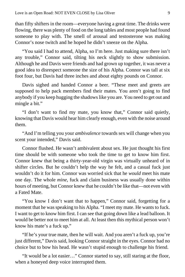than fifty shifters in the room—everyone having a great time. The drinks were flowing, there was plenty of food on the long tables and most people had found someone to play with. The smell of arousal and testosterone was making Connor's nose twitch and he hoped he didn't sneeze on the Alpha.

"You said I had to attend, Alpha, so I'm here. Just making sure there isn't any trouble," Connor said, tilting his neck slightly to show submission. Although he and Davis were friends and had grown up together, it was never a good idea to disrespect someone the size of his Alpha. Connor was tall at six foot four, but Davis had three inches and about eighty pounds on Connor.

Davis sighed and handed Connor a beer. "These meet and greets are supposed to help pack members find their mates. You aren't going to find anybody if you keep hugging the shadows like you are. You need to get out and mingle a bit."

"I don't want to find my mate, you know that," Connor said quietly, knowing that Davis would hear him clearly enough, even with the noise around them.

"And I'm telling you your *ambivalence* towards sex will change when you scent your intended," Davis said.

Connor flushed. He wasn't ambivalent about sex. He just thought his first time should be with someone who took the time to get to know him first. Connor knew that being a thirty-year-old virgin was virtually unheard of in shifter circles. But he couldn't help the way he felt, and a casual fuck just wouldn't do it for him. Connor was worried sick that he *would* meet his mate one day. The whole *mine*, fuck and claim business was usually done within hours of meeting, but Connor knew that he couldn't be like that—not even with a Fated Mate.

"You know I don't want that to happen," Connor said, forgetting for a moment that he was speaking to his Alpha. "I meet my mate. He wants to fuck. I want to get to know him first. I can see that going down like a lead balloon. It would be better not to meet him at all. At least then this mythical person won't know his mate's a fuck up."

"If he's your true mate, then he will wait. And you aren't a fuck up, you're just different," Davis said, looking Connor straight in the eyes. Connor had no choice but to bow his head. He wasn't stupid enough to challenge his friend.

"It would be a lot easier…" Connor started to say, still staring at the floor, when a honeyed deep voice interrupted them.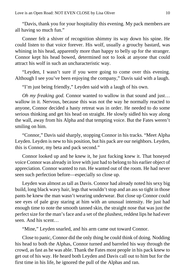"Davis, thank you for your hospitality this evening. My pack members are all having so much fun."

Conner felt a shiver of recognition shimmy its way down his spine. He could listen to that voice forever. His wolf, usually a grouchy bastard, was whining in his head, apparently more than happy to belly up for the stranger. Connor kept his head bowed, determined not to look at anyone that could attract his wolf in such an uncharacteristic way.

"Leyden, I wasn't sure if you were going to come over this evening. Although I see you've been enjoying the company," Davis said with a laugh.

"I'm just being friendly," Leyden said with a laugh of his own.

*Oh my freaking god.* Connor wanted to wallow in that sound and just… wallow in it. Nervous, because this was not the way he normally reacted to anyone, Connor decided a hasty retreat was in order. He needed to do some serious thinking and get his head on straight. He slowly sidled his way along the wall, away from his Alpha and that tempting voice. But the Fates weren't smiling on him.

"Connor," Davis said sharply, stopping Connor in his tracks. "Meet Alpha Leyden. Leyden is new to his position, but his pack are our neighbors. Leyden, this is Connor, my beta and pack second."

Connor looked up and he knew it, he just fucking knew it. That honeyed voice Connor was already in love with just had to belong to his earlier object of appreciation. Connor wanted to run. He wanted out of the room. He had never seen such perfection before—especially so close up.

Leyden was almost as tall as Davis. Connor had already noted his sexy big build, long black wavy hair, legs that wouldn't stop and an ass so tight in those pants he knew the man wasn't wearing underwear. But close up Connor could see eyes of pale gray staring at him with an unusual intensity. He just had enough time to note the smooth tanned skin, the straight nose that was just the perfect size for the man's face and a set of the plushest, reddest lips he had ever seen. And his scent…

"Mine," Leyden snarled, and his arm came out toward Connor.

Close to panic, Connor did the only thing he could think of doing. Nodding his head to both the Alphas, Connor turned and barreled his way through the crowd, as fast as he was able. Thank the Fates most people in his pack knew to get out of his way. He heard both Leyden and Davis call out to him but for the first time in his life, he ignored the pull of the Alphas and ran.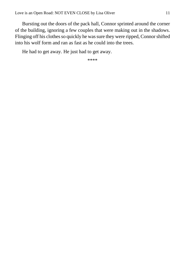Bursting out the doors of the pack hall, Connor sprinted around the corner of the building, ignoring a few couples that were making out in the shadows. Flinging off his clothes so quickly he was sure they were ripped, Connor shifted into his wolf form and ran as fast as he could into the trees.

He had to get away. He just had to get away.

\*\*\*\*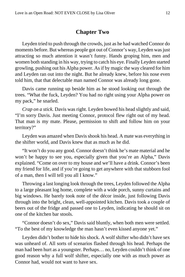#### **Chapter Two**

<span id="page-11-0"></span>Leyden tried to push through the crowds, just as he had watched Connor do moments before. But whereas people got out of Connor's way, Leyden was just attracting so much attention it wasn't funny. Hands groping him, men and women both standing in his way, trying to catch his eye. Finally Leyden started growling, pushing out his Alpha power. As if by magic the way cleared for him and Leyden ran out into the night. But he already knew, before his nose even told him, that that delectable man named Connor was already long gone.

Davis came running up beside him as he stood looking out through the trees. "What the fuck, Leyden? You had no right using your Alpha power on my pack," he snarled.

*Crap on a stick.* Davis was right. Leyden bowed his head slightly and said, "I'm sorry Davis. Just meeting Connor, protocol flew right out of my head. That man is my mate. Please, permission to shift and follow him on your territory?"

Leyden was amazed when Davis shook his head. A mate was everything in the shifter world, and Davis knew that as much as he did.

"It won't do you any good. Connor doesn't think he's mate material and he won't be happy to see you, especially given that you're an Alpha," Davis explained. "Come on over to my house and we'll have a drink. Connor's been my friend for life, and if you're going to get anywhere with that stubborn fool of a man, then I will tell you all I know."

Throwing a last longing look through the trees, Leyden followed the Alpha to a large pleasant log home, complete with a wide porch, sunny curtains and big windows. He barely took note of the décor inside, just following Davis through into the bright, clean, well-appointed kitchen. Davis took a couple of beers out of the fridge and passed one to Leyden, indicating he should sit on one of the kitchen bar stools.

"Connor doesn't do sex," Davis said bluntly, when both men were settled. "To the best of my knowledge the man hasn't even kissed anyone yet."

Leyden didn't bother to hide his shock. A wolf shifter who didn't have sex was unheard of. All sorts of scenarios flashed through his head. Perhaps the man had been hurt as a youngster. Perhaps… no, Leyden couldn't think of one good reason why a full wolf shifter, especially one with as much power as Connor had, would not want to have sex.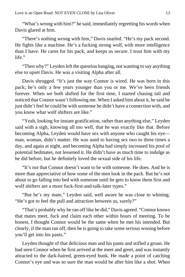"What's wrong with him?" he said, immediately regretting his words when Davis glared at him.

"There's nothing wrong with him," Davis snarled. "He's my pack second. He fights like a machine. He's a fucking strong wolf, with more intelligence than I have. He cares for his pack, and keeps us secure. I trust him with my life."

"Then why?" Leyden left the question hanging, not wanting to say anything else to upset Davis. He was a visiting Alpha after all.

Davis shrugged. "It's just the way Connor is wired. He was born in this pack; he's only a few years younger than you or me. We've been friends forever. When we both shifted for the first time, I started chasing tail and noticed that Connor wasn't following me. When I asked him about it, he said he just didn't feel he could be with someone he didn't have a connection with, and you know what wolf shifters are like."

"Yeah, looking for instant gratification, rather than anything else," Leyden said with a sigh, knowing all too well, that he was exactly like that. Before becoming Alpha, Leyden would have sex with anyone who caught his eye man, woman, didn't matter. He was used to having sex two to three times a day, and again at night, and becoming Alpha had simply increased his pool of potential bedmates, not lessened it. He didn't have as much time to indulge as he did before, but he definitely loved the sexual side of his life.

"It's not that Connor doesn't want to be with someone. He does. And he is more than appreciative of how some of the men look in the pack. But he's not about to go falling into bed with someone until he gets to know them first and wolf shifters are a more fuck-first-and-talk-later types."

"But he's my mate," Leyden said, well aware he was close to whining. "He's got to feel the pull and attraction between us, surely?"

"That's probably why he ran off like he did," Davis agreed. "Connor knows that mates meet, fuck and claim each other within hours of meeting. To be honest, I thought Connor would be the same when he met his intended. But clearly, if the man ran off, then he is going to take some serious wooing before you'll get into his pants."

Leyden thought of that delicious man and his pants and stifled a groan. He had seen Connor when he first arrived at the meet and greet, and was instantly attracted to the dark-haired, green-eyed hunk. He made a point of catching Connor's eye and was so sure the man would be after him like a shot. When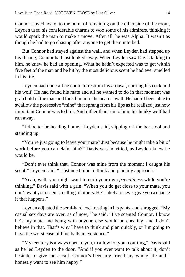Connor stayed away, to the point of remaining on the other side of the room, Leyden used his considerable charms to woo some of his admirers, thinking it would spark the man to make a move. After all, he was Alpha. It wasn't as though he had to go chasing after anyone to get them into bed.

But Connor had stayed against the wall, and when Leyden had stepped up his flirting, Connor had just looked away. When Leyden saw Davis talking to him, he knew he had an opening. What he hadn't expected was to get within five feet of the man and be hit by the most delicious scent he had ever smelled in his life.

Leyden had done all he could to restrain his arousal, curbing his cock and his wolf. He had found his mate and all he wanted to do in that moment was grab hold of the man and fuck him into the nearest wall. He hadn't been able to swallow the possessive "mine" that sprang from his lips as he realized just how important Connor was to him. And rather than run to him, his hunky wolf had run away.

"I'd better be heading home," Leyden said, slipping off the bar stool and standing up.

"You're just going to leave your mate? Just because he might take a bit of work before you can claim him?" Davis was horrified, as Leyden knew he would be.

"Don't ever think that. Connor was mine from the moment I caught his scent," Leyden said. "I just need time to think and plan my approach."

"Yeah, well, you might want to curb your own *friendliness* while you're thinking," Davis said with a grin. "When you do get close to your mate, you don't want your scent smelling of others. He's likely to never give you a chance if that happens."

Leyden adjusted the semi-hard cock resting in his pants, and shrugged. "My casual sex days are over, as of now," he said. "I've scented Connor, I know he's my mate and being with anyone else would be cheating, and I don't believe in that. That's why I have to think and plan quickly, or I'm going to have the worst case of blue balls in existence."

"My territory is always open to you, to allow for your courting," Davis said as he led Leyden to the door. "And if you ever want to talk about it, don't hesitate to give me a call. Connor's been my friend my whole life and I honestly want to see him happy."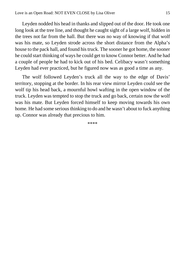Leyden nodded his head in thanks and slipped out of the door. He took one long look at the tree line, and thought he caught sight of a large wolf, hidden in the trees not far from the hall. But there was no way of knowing if that wolf was his mate, so Leyden strode across the short distance from the Alpha's house to the pack hall, and found his truck. The sooner he got home, the sooner he could start thinking of ways he could get to know Connor better. And he had a couple of people he had to kick out of his bed. Celibacy wasn't something Leyden had ever practiced, but he figured now was as good a time as any.

The wolf followed Leyden's truck all the way to the edge of Davis' territory, stopping at the border. In his rear view mirror Leyden could see the wolf tip his head back, a mournful howl wafting in the open window of the truck. Leyden was tempted to stop the truck and go back, certain now the wolf was his mate. But Leyden forced himself to keep moving towards his own home. He had some serious thinking to do and he wasn't about to fuck anything up. Connor was already that precious to him.

\*\*\*\*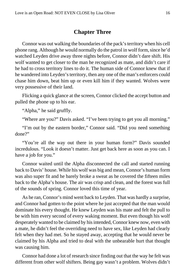### **Chapter Three**

<span id="page-15-0"></span>Connor was out walking the boundaries of the pack's territory when his cell phone rang. Although he would normally do the patrol in wolf form, since he'd watched Leyden drive away three nights before, Connor didn't dare shift. His wolf wanted to get closer to the man he recognized as mate, and didn't care if he had to cross territory lines to do it. The human side of Connor knew that if he wandered into Leyden's territory, then any one of the man's enforcers could chase him down, beat him up or even kill him if they wanted. Wolves were very possessive of their land.

Flicking a quick glance at the screen, Connor clicked the accept button and pulled the phone up to his ear.

"Alpha," he said gruffly.

"Where are you?" Davis asked. "I've been trying to get you all morning."

"I'm out by the eastern border," Connor said. "Did you need something done?"

"You're all the way out there in your human form?" Davis sounded incredulous. "Look it doesn't matter. Just get back here as soon as you can. I have a job for you."

Connor waited until the Alpha disconnected the call and started running back to Davis' house. While his wolf was big and mean, Connor's human form was also super fit and he barely broke a sweat as he covered the fifteen miles back to the Alpha's house. The air was crisp and clean, and the forest was full of the sounds of spring. Connor loved this time of year.

As he ran, Connor's mind went back to Leyden. That was hardly a surprise, and Connor had gotten to the point where he just accepted that the man would dominate his every thought. He knew Leyden was his mate and felt the pull to be with him every second of every waking moment. But even though his wolf desperately wanted to be claimed by his intended, Connor knew now, even with a mate, he didn't feel the overriding need to have sex, like Leyden had clearly felt when they had met. So he stayed away, accepting that he would never be claimed by his Alpha and tried to deal with the unbearable hurt that thought was causing him.

Connor had done a lot of research since finding out that the way he felt was different from other wolf shifters. Being gay wasn't a problem. Wolves didn't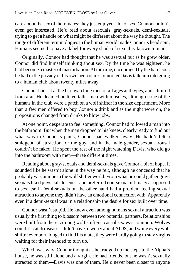care about the sex of their mates; they just enjoyed a lot of sex. Connor couldn't even get interested. He'd read about asexuals, gray-sexuals, demi-sexuals, trying to get a handle on what might be different about the way he thought. The range of different terminologies in the human world made Connor's head spin. Humans seemed to have a label for every shade of sexuality known to man.

Originally, Connor had thought that he was asexual but as he grew older, Connor did find himself thinking about sex. By the time he was eighteen, he had become a master of masturbation. At the time, encouraged by the hard cock he had in the privacy of his own bedroom, Connor let Davis talk him into going to a human club about twenty miles away.

Connor had sat at the bar, watching men of all ages and types, and admired from afar. He decided he liked taller men with muscles, although none of the humans in the club were a patch on a wolf shifter in the size department. More than a few men offered to buy Connor a drink and as the night wore on, the propositions changed from drinks to blow jobs.

At one point, desperate to feel something, Connor had followed a man into the bathroom. But when the man dropped to his knees, clearly ready to find out what was in Connor's pants, Connor had walked away. He hadn't felt a smidgeon of attraction for the guy, and in the male gender, sexual arousal couldn't be faked. He spent the rest of the night watching Davis, who did go into the bathroom with men—three different times.

Reading about gray-sexuals and demi-sexuals gave Connor a bit of hope. It sounded like he wasn't alone in the way he felt, although he conceded that he probably was unique in the wolf shifter world. From what he could gather graysexuals liked physical closeness and preferred non-sexual intimacy as opposed to sex itself. Demi-sexuals on the other hand had a problem feeling sexual attraction to anyone they didn't have an emotional connection with. Apparently even if a demi-sexual was in a relationship the desire for sex built over time.

Connor wasn't stupid. He knew even among humans sexual attraction was usually the first thing to blossom between two potential partners. Relationships were built from there. Among wolf shifters, casual sex was common. Wolves couldn't catch diseases, didn't have to worry about AIDS, and while every wolf shifter ever born longed to find his mate, they were hardly going to stay virgins waiting for their intended to turn up.

Which was why, Connor thought as he trudged up the steps to the Alpha's house, he was still alone and a virgin. He had friends, but he wasn't sexually attracted to them—Davis was one of them. He'd never been closer to anyone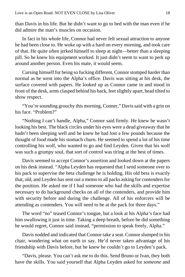than Davis in his life. But he didn't want to go to bed with the man even if he did admire the man's muscles on occasion.

In fact in his whole life, Connor had never felt sexual attraction to anyone he had been close to. He woke up with a hard on every morning, and took care of that. He quite often jerked himself to sleep at night—better than a sleeping pill. So he knew his equipment worked. It just didn't seem to want to perk up around another person. Even his mate, it would seem.

Cursing himself for being so fucking different, Connor stomped harder than normal as he went into the Alpha's office. Davis was sitting at his desk, the surface covered with papers. He looked up as Connor came in and stood in front of the desk, arms clasped behind his back, feet slightly apart, head tilted to show respect.

"You're sounding grouchy this morning, Conner," Davis said with a grin on his face. "Problem?"

"Nothing I can't handle, Alpha," Connor said firmly. He knew he wasn't looking his best. The black circles under his eyes were a dead giveaway that he hadn't been sleeping well and he knew he had lost a few pounds because the thought of food made his stomach churn. He seemed to spend a lot of his time controlling his wolf, who wanted to go and find Leyden. Given that his wolf was such a grumpy soul, that sort of control was tiring at the best of times.

Davis seemed to accept Connor's assertion and looked down at the papers on his desk instead. "Alpha Leyden has requested that I send someone over to his pack to supervise the beta challenge he is holding. His old beta is exactly that, old, and Leyden has sent out a memo to all packs asking for contenders for the position. He asked me if I had someone who had the skills and expertise necessary to do background checks on all of the contenders, and provide him with security before and during the challenge. All of his enforcers will be attending as contenders. You will need to be at the pack for three days."

The word "no" teased Connor's tongue, but a look at his Alpha's face had him swallowing it just in time. Taking a deep breath, before he did something he would regret, Connor said instead, "permission to speak freely, Alpha."

Davis nodded and indicated that Connor take a seat. Connor slumped in his chair, wondering what on earth to say. He'd never taken advantage of his friendship with Davis before, but he knew he couldn't go to Leyden's pack.

"Davis, please. You can't ask me to do this. Send Bruno or Ivan, they both have the skills. You said yourself that Alpha Leyden asked for *someone* and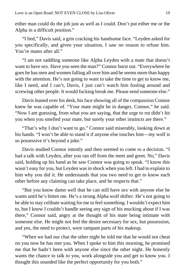either man could do the job just as well as I could. Don't put either me or the Alpha in a difficult position."

"I lied," Davis said, a grin cracking his handsome face. "Leyden asked for you specifically, and given your situation, I saw no reason to refuse him. You're mates after all."

"I am not saddling someone like Alpha Leyden with a mate that doesn't want to have sex. Have you seen the man?" Connor burst out. "Everywhere he goes he has men and women falling all over him and he seems more than happy with the attention. He's not going to want to take the time to get to know me, like I need, and I can't, Davis, I just can't watch him fooling around and screwing other people. It would fucking break me. Please send someone else."

Davis leaned over his desk, his face showing all of the compassion Connor knew he was capable of. "Your mate might be in danger, Connor," he said. "Now I am guessing, from what you are saying, that the urge to rut didn't hit you when you smelled your mate, but surely your other instincts are there."

"That's why I don't want to go," Connor said miserably, looking down at his hands. "I won't be able to stand it if anyone else touches him—my wolf is so possessive it's beyond a joke."

Davis studied Connor intently and then seemed to come to a decision. "I had a talk with Leyden, after you ran off from the meet and greet. No," Davis said, holding up his hand as he saw Connor was going to speak. "I know this wasn't easy for you, but Leyden was in shock when you left. I had to explain to him why you did it. He understands that you two need to get to know each other before any claiming can take place, and he respects that."

"But you know damn well that he can still have sex with anyone else he wants until he's bitten me. He's a strong Alpha wolf shifter. He's not going to be able to stay celibate waiting for me to feel something. I wouldn't expect him to, but I know I couldn't handle seeing any sign of his mucking about if I was there," Connor said, angry at the thought of his mate being intimate with someone else. He might not feel the desire necessary for sex, but possession, and yes, the need to protect, were rampant parts of his makeup.

"When we had our chat the other night he told me that he would not cheat on you now he has met you. When I spoke to him this morning, he promised me that he hadn't been with anyone else since the other night. He honestly wants the chance to talk to you, work alongside you and get to know you. I thought this sounded like the perfect opportunity for you both."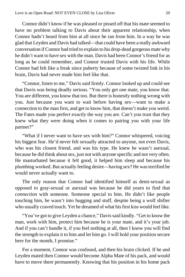Connor didn't know if he was pleased or pissed off that his mate seemed to have no problem talking to Davis about their apparent relationship, when Connor hadn't heard from him at all since he ran from him. In a way he was glad that Leyden and Davis had talked—that could have been a really awkward conversation if Connor had tried to explain to his drop-dead gorgeous mate why he didn't want to have sex with the man. Davis had been Connor's friend for as long as he could remember, and Connor trusted Davis with his life. While Connor had felt like a freak since puberty because of some twisted link in his brain, Davis had never made him feel like that.

"Connor, listen to me," Davis said firmly. Connor looked up and could see that Davis was being deadly serious. "You only get one mate, you know that. You are different, you know that too. But there is honestly nothing wrong with you. Just because you want to wait before having sex—want to make a connection to the man first, and get to know him, that doesn't make you weird. The Fates made you perfect exactly the way you are. Can't you trust that they knew what they were doing when it comes to pairing you with your life partner?"

"What if I never want to have sex with him?" Connor whispered, voicing his biggest fear. He'd never felt sexually attracted to anyone, not even Davis, who was his closest friend, and was his type. He knew he wasn't asexual, because he did think about sex, just not with anyone specific and not very often. He masturbated because it felt good, it helped him sleep and because his plumbing worked. But actually feeling desire—having sex? He was terrified he would never actually want to.

The only reason that Connor had identified himself as demi-sexual as opposed to gray-sexual or asexual was because he did yearn to find that *connection* with someone. Someone special to him. He didn't like people touching him, he wasn't into hugging and stuff, despite being a wolf shifter who usually craved touch. Yet he dreamed of what his first kiss would feel like.

"You've got to give Leyden a chance," Davis said kindly. "Get to know the man, work with him, protect him because he is your mate, and it's your job. And if you can't handle it, if you feel nothing at all, then I know you will find the strength to explain it to him and let him go. I will hold your position secure here for the month, I promise."

For a moment, Connor was confused, and then his brain clicked. If he and Leyden mated then Connor would become Alpha Mate of his pack, and would have to move there permanently. Knowing that his position in his home pack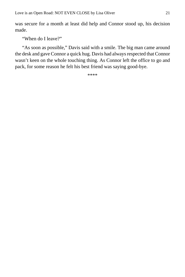was secure for a month at least did help and Connor stood up, his decision made.

"When do I leave?"

"As soon as possible," Davis said with a smile. The big man came around the desk and gave Connor a quick hug. Davis had always respected that Connor wasn't keen on the whole touching thing. As Connor left the office to go and pack, for some reason he felt his best friend was saying good-bye.

\*\*\*\*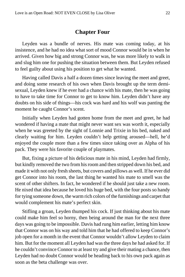#### **Chapter Four**

<span id="page-21-0"></span>Leyden was a bundle of nerves. His mate was coming today, at his insistence, and he had no idea what sort of mood Connor would be in when he arrived. Given how big and strong Connor was, he was more likely to walk in and slug him one for pushing the situation between them. But Leyden refused to feel guilty about using his position to get what he wanted.

Having called Davis a half a dozen times since leaving the meet and greet, and doing some research of his own when Davis brought up the term demisexual, Leyden knew if he ever had a chance with his mate, then he was going to have to take time for Connor to get to know him. Leyden didn't have any doubts on his side of things—his cock was hard and his wolf was panting the moment he caught Connor's scent.

Initially when Leyden had gotten home from the meet and greet, he had wondered if having a mate that might never want sex was worth it, especially when he was greeted by the sight of Lonnie and Trixie in his bed, naked and clearly waiting for him. Leyden couldn't help getting aroused—hell, he'd enjoyed the couple more than a few times since taking over as Alpha of his pack. They were his favorite couple of playmates.

But, fixing a picture of his delicious mate in his mind, Leyden had firmly, but kindly removed the two from his room and then stripped down his bed, and made it with not only fresh sheets, but covers and pillows as well. If he ever did get Connor into his room, the last thing he wanted his mate to smell was the scent of other shifters. In fact, he wondered if he should just take a new room. He nixed that idea because he loved his huge bed, with the four posts so handy for tying someone down, the warm rich colors of the furnishings and carpet that would complement his mate's perfect skin.

Stifling a groan, Leyden thumped his cock. If just thinking about his mate could make him feel so horny, then being around the man for the next three days was going to be impossible. Davis had rung him earlier, letting him know that Connor was on his way and told him that he had offered to keep Connor's job open for a month in the event that Connor wouldn't allow Leyden to claim him. But for the moment all Leyden had was the three days he had asked for. If he couldn't convince Connor to at least try and give their mating a chance, then Leyden had no doubt Connor would be heading back to his own pack again as soon as the beta challenge was over.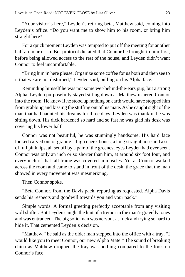"Your visitor's here," Leyden's retiring beta, Matthew said, coming into Leyden's office. "Do you want me to show him to his room, or bring him straight here?"

For a quick moment Leyden was tempted to put off the meeting for another half an hour or so. But protocol dictated that Connor be brought to him first, before being allowed access to the rest of the house, and Leyden didn't want Connor to feel uncomfortable.

"Bring him in here please. Organize some coffee for us both and then see to it that we are not disturbed," Leyden said, pulling on his Alpha face.

Reminding himself he was not some wet-behind-the-ears pup, but a strong Alpha, Leyden purposefully stayed sitting down as Matthew ushered Connor into the room. He knew if he stood up nothing on earth would have stopped him from grabbing and kissing the stuffing out of his mate. As he caught sight of the man that had haunted his dreams for three days, Leyden was thankful he was sitting down. His dick hardened so hard and so fast he was glad his desk was covering his lower half.

Connor was not beautiful, he was stunningly handsome. His hard face looked carved out of granite—high cheek bones, a long straight nose and a set of full pink lips, all set off by a pair of the greenest eyes Leyden had ever seen. Connor was only an inch or so shorter than him, at around six foot four, and every inch of that tall frame was covered in muscles. Yet as Connor walked across the room and came to stand in front of the desk, the grace that the man showed in every movement was mesmerizing.

Then Connor spoke.

"Beta Connor, from the Davis pack, reporting as requested. Alpha Davis sends his respects and goodwill towards you and your pack."

Simple words. A formal greeting perfectly acceptable from any visiting wolf shifter. But Leyden caught the hint of a tremor in the man's gravelly tones and was entranced. The big solid man was nervous as fuck and trying so hard to hide it. That cemented Leyden's decision.

"Matthew," he said as the older man stepped into the office with a tray. "I would like you to meet Connor, our new Alpha Mate." The sound of breaking china as Matthew dropped the tray was nothing compared to the look on Connor's face.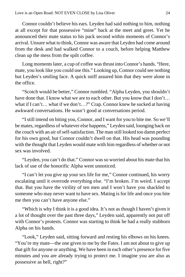Connor couldn't believe his ears. Leyden had said nothing to him, nothing at all except for that possessive "mine" back at the meet and greet. Yet he announced their mate status to his pack second within moments of Connor's arrival. Unsure what to think, Connor was aware that Leyden had come around from the desk and had walked Connor to a couch, before helping Matthew clean up the mess from the spilt coffee.

Long moments later, a cup of coffee was thrust into Connor's hands. "Here, mate, you look like you could use this." Looking up, Connor could see nothing but Leyden's smiling face. A quick sniff assured him that they were alone in the office.

"Scotch would be better," Connor rumbled. "Alpha Leyden, you shouldn't have done that. I know what we are to each other. But you know that I don't... what if I can't... what if we don't...?" Crap. Connor knew he sucked at having awkward conversations. He wasn't good at conversations period.

"I still intend on biting you, Connor, and I want for you to bite me. So we'll be mates, regardless of whatever else happens," Leyden said, lounging back on the couch with an air of self-satisfaction. The man still looked too damn perfect for his own good, but Connor couldn't dwell on that. His head was pounding with the thought that Leyden would mate with him regardless of whether or not sex was involved.

"Leyden, you can't do that." Connor was so worried about his mate that his lack of use of the honorific Alpha went unnoticed.

"I can't let you give up your sex life for me," Connor continued, his worry escalating until it overrode everything else. "I'm broken. I'm weird. I accept that. But you have the virility of ten men and I won't have you shackled to someone who may never want to have sex. Mating is for life and once you bite me then you can't have anyone else."

"Which is why I think it is a good idea. It's not as though I haven't given it a lot of thought over the past three days," Leyden said, apparently not put off with Connor's protests. Connor was starting to think he had a really stubborn Alpha on his hands.

"Look," Leyden said, sitting forward and resting his elbows on his knees. "You're my mate—the one given to me by the Fates. I am not about to give up that gift for anyone or anything. We have been in each other's presence for five minutes and you are already trying to protect me. I imagine you are also as possessive as hell, right?"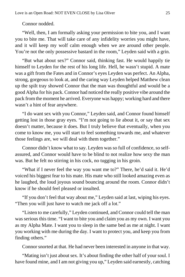Connor nodded.

"Well, then, I am formally asking your permission to bite you, and I want you to bite me. That will take care of any infidelity worries you might have, and it will keep my wolf calm enough when we are around other people. You're not the only possessive bastard in the room," Leyden said with a grin.

"But what about sex?" Connor said, thinking fast. He would happily tie himself to Leyden for the rest of his long life. Hell, he wasn't stupid. A mate was a gift from the Fates and in Connor's eyes Leyden was perfect. An Alpha, strong, gorgeous to look at, and the caring way Leyden helped Matthew clean up the spilt tray showed Connor that the man was thoughtful and would be a good Alpha for his pack. Connor had noticed the really positive vibe around the pack from the moment he arrived. Everyone was happy; working hard and there wasn't a hint of fear anywhere.

"I do want sex with you Connor," Leyden said, and Connor found himself getting lost in those gray eyes. "I'm not going to lie about it, or say that sex doesn't matter, because it does. But I truly believe that eventually, when you come to know me, you will start to feel something towards me, and whatever those feelings are, we will deal with them together."

Connor didn't know what to say. Leyden was so full of confidence, so selfassured, and Connor would have to be blind to not realize how sexy the man was. But he felt no stirring in his cock, no tugging in his groin.

"What if I never feel the way you want me to?" There, he'd said it. He'd voiced his biggest fear to his mate. His mate who still looked amazing even as he laughed, the loud joyous sound bouncing around the room. Connor didn't know if he should feel pleased or insulted.

"If you don't feel that way about me," Leyden said at last, wiping his eyes. "Then you will just have to watch me jack off a lot."

"Listen to me carefully," Leyden continued, and Connor could tell the man was serious this time. "I want to bite you and claim you as my own. I want you as my Alpha Mate. I want you to sleep in the same bed as me at night. I want you working with me during the day. I want to protect you, and keep you from finding others."

Connor snorted at that. He had never been interested in anyone in that way.

"Mating isn't just about sex. It's about finding the other half of your soul. I have found mine, and I am not giving you up," Leyden said earnestly, catching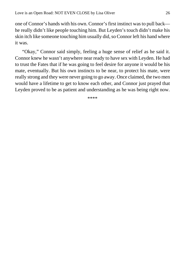one of Connor's hands with his own. Connor's first instinct was to pull back he really didn't like people touching him. But Leyden's touch didn't make his skin itch like someone touching him usually did, so Connor left his hand where it was.

"Okay," Connor said simply, feeling a huge sense of relief as he said it. Connor knew he wasn't anywhere near ready to have sex with Leyden. He had to trust the Fates that if he was going to feel desire for anyone it would be his mate, eventually. But his own instincts to be near, to protect his mate, were really strong and they were never going to go away. Once claimed, the two men would have a lifetime to get to know each other, and Connor just prayed that Leyden proved to be as patient and understanding as he was being right now.

\*\*\*\*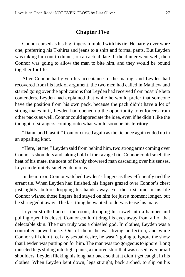### **Chapter Five**

<span id="page-26-0"></span>Connor cursed as his big fingers fumbled with his tie. He barely ever wore one, preferring his T-shirts and jeans to a shirt and formal pants. But Leyden was taking him out to dinner, on an actual date. If the dinner went well, then Connor was going to allow the man to bite him, and they would be bound together for life.

After Connor had given his acceptance to the mating, and Leyden had recovered from his lack of argument, the two men had called in Matthew and started going over the applications that Leyden had received from possible beta contenders. Leyden had explained that while he would prefer that someone have the position from his own pack, because the pack didn't have a lot of strong males in it, Leyden had opened up the opportunity to enforcers from other packs as well. Connor could appreciate the idea, even if he didn't like the thought of strangers coming onto what would soon be his territory.

"Damn and blast it." Connor cursed again as the tie once again ended up in an appalling knot.

"Here, let me," Leyden said from behind him, two strong arms coming over Connor's shoulders and taking hold of the ravaged tie. Connor could smell the heat of his mate, the scent of freshly showered man cascading over his senses. Leyden definitely smelled delicious.

In the mirror, Connor watched Leyden's fingers as they efficiently tied the errant tie. When Leyden had finished, his fingers grazed over Connor's chest just lightly, before dropping his hands away. For the first time in his life Connor wished those fingers had stayed on him for just a moment longer, but he shrugged it away. The last thing he wanted to do was tease his mate.

Leyden strolled across the room, dropping his towel into a hamper and pulling open his closet. Connor couldn't drag his eyes away from all of that delectable skin. The man truly was a chiseled god. In clothes, Leyden was a controlled powerhouse. Out of them, he was living perfection, and while Connor still didn't feel any sexual desire, he wasn't going to ignore the show that Leyden was putting on for him. The man was too gorgeous to ignore. Long muscled legs sliding into tight pants, a tailored shirt that was eased over broad shoulders, Leyden flicking his long hair back so that it didn't get caught in his clothes. When Leyden bent down, legs straight, back arched, to slip on his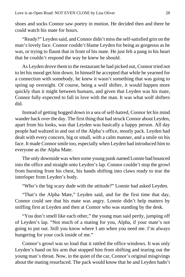shoes and socks Connor saw poetry in motion. He decided then and there he could watch his mate for hours.

"Ready?" Leyden said, and Connor didn't miss the self-satisfied grin on the man's lovely face. Connor couldn't blame Leyden for being as gorgeous as he was, or trying to flaunt that in front of his mate. He just felt a pang in his heart that he couldn't respond the way he knew he should.

As Leyden drove them to the restaurant he had picked out, Connor tried not to let his mood get him down. In himself he accepted that while he yearned for a connection with somebody, he knew it wasn't something that was going to spring up overnight. Of course, being a wolf shifter, it would happen more quickly than it might between humans, and given that Leyden was his mate, Connor fully expected to fall in love with the man. It was what wolf shifters did.

Instead of getting bogged down in a sea of self-hatred, Connor let his mind wander back over the day. The first thing that had struck Connor about Leyden, apart from his looks, was that Leyden was basically a happy person. All day people had waltzed in and out of the Alpha's office, mostly pack. Leyden had dealt with every concern, big or small, with a calm manner, and a smile on his face. It made Connor smile too, especially when Leyden had introduced him to everyone as the Alpha Mate.

The only downside was when some young punk named Lonnie had bounced into the office and straight onto Leyden's lap. Connor couldn't stop the growl from bursting from his chest, his hands shifting into claws ready to tear the interloper from Leyden's body.

"Who's the big scary dude with the attitude?" Lonnie had asked Leyden.

"That's the Alpha Mate," Leyden said, and for the first time that day, Connor could see that his mate was angry. Lonnie didn't help matters by sniffing first at Leyden and then at Connor who was standing by the desk.

"You don't smell like each other," the young man said pertly, jumping off of Leyden's lap. "Not much of a mating for you, Alpha, if your mate's not going to put out. Still you know where I am when you need me. I'm always hungering for your cock inside of me."

Connor's growl was so loud that it rattled the office windows. It was only Leyden's hand on his arm that stopped him from shifting and tearing out the young man's throat. Now, in the quiet of the car, Connor's original misgivings about the mating resurfaced. The pack would know that he and Leyden hadn't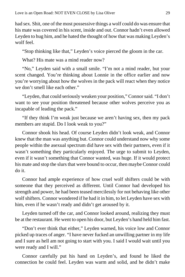had sex. Shit, one of the most possessive things a wolf could do was ensure that his mate was covered in his scent, inside and out. Connor hadn't even allowed Leyden to hug him, and he hated the thought of how that was making Leyden's wolf feel.

"Stop thinking like that," Leyden's voice pierced the gloom in the car.

What? His mate was a mind reader now?

"No," Leyden said with a small smile. "I'm not a mind reader, but your scent changed. You're thinking about Lonnie in the office earlier and now you're worrying about how the wolves in the pack will react when they notice we don't smell like each other."

"Leyden, that could seriously weaken your position," Connor said. "I don't want to see your position threatened because other wolves perceive you as incapable of leading the pack."

"If they think I'm weak just because we aren't having sex, then my pack members are stupid. Do I look weak to you?"

Connor shook his head. Of course Leyden didn't look weak, and Connor knew that the man was anything but. Connor could understand now why some people within the asexual spectrum did have sex with their partners, even if it wasn't something they particularly enjoyed. The urge to submit to Leyden, even if it wasn't something that Connor wanted, was huge. If it would protect his mate and stop the slurs that were bound to occur, then maybe Connor could do it.

Connor had ample experience of how cruel wolf shifters could be with someone that they perceived as different. Until Connor had developed his strength and power, he had been teased mercilessly for not behaving like other wolf shifters. Connor wondered if he had it in him, to let Leyden have sex with him, even if he wasn't ready and didn't get aroused by it.

Leyden turned off the car, and Connor looked around, realizing they must be at the restaurant. He went to open his door, but Leyden's hand held him fast.

"Don't ever think that either," Leyden warned, his voice low and Connor picked up traces of anger. "I have never fucked an unwilling partner in my life and I sure as hell am not going to start with you. I said I would wait until you were ready and I will."

Connor carefully put his hand on Leyden's, and found he liked the connection he could feel. Leyden was warm and solid, and he didn't make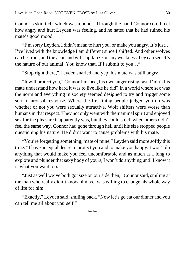Connor's skin itch, which was a bonus. Through the hand Connor could feel how angry and hurt Leyden was feeling, and he hated that he had ruined his mate's good mood.

"I'm sorry Leyden. I didn't mean to hurt you, or make you angry. It's just… I've lived with the knowledge I am different since I shifted. And other wolves can be cruel, and they can and will capitalize on any weakness they can see. It's the nature of our animal. You know that. If I submit to you…"

"Stop right there," Leyden snarled and yep, his mate was still angry.

"It will protect you," Connor finished, his own anger rising fast. Didn't his mate understand how hard it was to live like he did? In a world where sex was the norm and everything in society seemed designed to try and trigger some sort of arousal response. Where the first thing people judged you on was whether or not you were sexually attractive. Wolf shifters were worse than humans in that respect. They not only went with their animal spirit and enjoyed sex for the pleasure it apparently was, but they could smell when others didn't feel the same way. Connor had gone through hell until his size stopped people questioning his nature. He didn't want to cause problems with his mate.

"You're forgetting something, mate of mine," Leyden said more softly this time. "I have an equal desire to protect you and to make you happy. I won't do anything that would make you feel uncomfortable and as much as I long to explore and plunder that sexy body of yours, I won't do anything until I know it is what you want too."

"Just as well we've both got size on our side then," Connor said, smiling at the man who really didn't know him, yet was willing to change his whole way of life for him.

"Exactly," Leyden said, smiling back. "Now let's go eat our dinner and you can tell me all about yourself."

\*\*\*\*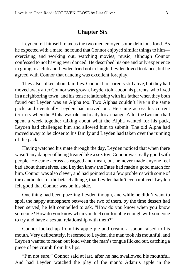### **Chapter Six**

<span id="page-30-0"></span>Leyden felt himself relax as the two men enjoyed some delicious food. As he expected with a mate, he found that Connor enjoyed similar things to him exercising and working out, watching movies, music, although Connor confessed to not having ever danced. He described his one and only experience in going to a club and Leyden tried not to laugh. Leyden loved to dance, but he agreed with Connor that dancing was excellent foreplay.

They also talked about families. Connor had parents still alive, but they had moved away after Connor was grown. Leyden told about his parents, who lived in a neighboring town, and his tense relationship with his father when they both found out Leyden was an Alpha too. Two Alphas couldn't live in the same pack, and eventually Leyden had moved out. He came across his current territory when the Alpha was old and ready for a change. After the two men had spent a week together talking about what the Alpha wanted for his pack, Leyden had challenged him and allowed him to submit. The old Alpha had moved away to be closer to his family and Leyden had taken over the running of the pack.

Having watched his mate through the day, Leyden noticed that when there wasn't any danger of being treated like a sex toy, Connor was really good with people. He came across as rugged and mean, but he never made anyone feel bad about themselves, and Leyden knew the Fates had made a good match for him. Connor was also clever, and had pointed out a few problems with some of the candidates for the beta challenge, that Leyden hadn't even noticed. Leyden felt good that Connor was on his side.

One thing had been puzzling Leyden though, and while he didn't want to spoil the happy atmosphere between the two of them, by the time dessert had been served, he felt compelled to ask, "How do you know when you know someone? How do you know when you feel comfortable enough with someone to try and have a sexual relationship with them?"

Connor looked up from his apple pie and cream, a spoon raised to his mouth. Very deliberately, it seemed to Leyden, the man took his mouthful, and Leyden wanted to moan out loud when the man's tongue flicked out, catching a piece of pie crumb from his lips.

"I'm not sure," Connor said at last, after he had swallowed his mouthful. And had Leyden watched the play of the man's Adam's apple in the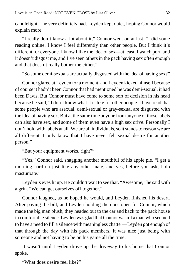candlelight—he very definitely had. Leyden kept quiet, hoping Connor would explain more.

"I really don't know a lot about it," Connor went on at last. "I did some reading online. I know I feel differently than other people. But I think it's different for everyone. I know I like the idea of sex—at least, I watch porn and it doesn't disgust me, and I've seen others in the pack having sex often enough and that doesn't really bother me either."

"So some demi-sexuals are actually disgusted with the idea of having sex?"

Connor glared at Leyden for a moment, and Leyden kicked himself because of course it hadn't been Connor that had mentioned he was demi-sexual, it had been Davis. But Connor must have come to some sort of decision in his head because he said, "I don't know what it is like for other people. I have read that some people who are asexual, demi-sexual or gray-sexual are disgusted with the idea of having sex. But at the same time anyone from anyone of those labels can also have sex, and some of them even have a high sex drive. Personally I don't hold with labels at all. We are all individuals, so it stands to reason we are all different. I only know that I have never felt sexual desire for another person."

"But your equipment works, right?"

"Yes," Connor said, snagging another mouthful of his apple pie. "I get a morning hard-on just like any other male, and yes, before you ask, I do masturbate."

Leyden's eyes lit up. He couldn't wait to see that. "Awesome," he said with a grin. "We can get ourselves off together."

Connor laughed, as he hoped he would, and Leyden finished his desert. After paying the bill, and Leyden holding the door open for Connor, which made the big man blush, they headed out to the car and back to the pack house in comfortable silence. Leyden was glad that Connor wasn't a man who seemed to have a need to fill a silence with meaningless chatter—Leyden got enough of that through the day with his pack members. It was nice just being with someone and not having to be on his game all the time.

It wasn't until Leyden drove up the driveway to his home that Connor spoke.

"What does desire feel like?"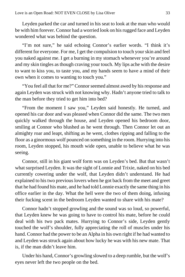Leyden parked the car and turned in his seat to look at the man who would be with him forever. Connor had a worried look on his rugged face and Leyden wondered what was behind the question.

"I'm not sure," he said echoing Connor's earlier words. "I think it's different for everyone. For me, I get the compulsion to touch your skin and feel you naked against me. I get a burning in my stomach whenever you're around and my skin tingles as though craving your touch. My lips ache with the desire to want to kiss you, to taste you, and my hands seem to have a mind of their own when it comes to wanting to touch you."

"You feel all that for me?" Connor seemed almost awed by his response and again Leyden was struck with not knowing why. Hadn't anyone tried to talk to the man before they tried to get him into bed?

"From the moment I saw you," Leyden said honestly. He turned, and opened his car door and was pleased when Connor did the same. The two men quickly walked through the house, and Leyden opened his bedroom door, smiling at Connor who blushed as he went through. Then Connor let out an almighty roar and leapt, shifting as he went, clothes ripping and falling to the floor as a ginormous wolf pounced on something in the room. Hurrying into his room, Leyden stopped, his mouth wide open, unable to believe what he was seeing.

Connor, still in his giant wolf form was on Leyden's bed. But that wasn't what surprised Leyden. It was the sight of Lonnie and Trixie, naked on his bed currently cowering under the wolf, that Leyden didn't understand. He had explained to his two previous lovers when he got back from the meet and greet that he had found his mate, and he had told Lonnie exactly the same thing in his office earlier in the day. What the hell were the two of them doing, infusing their fucking scent in the bedroom Leyden wanted to share with his mate?

Connor hadn't stopped growling and the sound was so loud, so powerful, that Leyden knew he was going to have to control his mate, before he could deal with his two pack mates. Hurrying to Connor's side, Leyden gently touched the wolf's shoulder, fully appreciating the roll of muscles under his hand. Connor had the power to be an Alpha in his own right if he had wanted to and Leyden was struck again about how lucky he was with his new mate. That is, if the man didn't leave him.

Under his hand, Connor's growling slowed to a deep rumble, but the wolf's eyes never left the two people on the bed.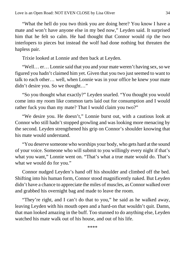"What the hell do you two think you are doing here? You know I have a mate and won't have anyone else in my bed now," Leyden said. It surprised him that he felt so calm. He had thought that Connor would rip the two interlopers to pieces but instead the wolf had done nothing but threaten the hapless pair.

Trixie looked at Lonnie and then back at Leyden.

"Well… er… Lonnie said that you and your mate weren't having sex, so we figured you hadn't claimed him yet. Given that you two just seemed to want to talk to each other… well, when Lonnie was in your office he knew your mate didn't desire you. So we thought…"

"So you thought what exactly?" Leyden snarled. "You thought you would come into my room like common tarts laid out for consumption and I would rather fuck you than my mate? That I would claim you two?"

"We desire you. He doesn't," Lonnie burst out, with a cautious look at Connor who still hadn't stopped growling and was looking more menacing by the second. Leyden strengthened his grip on Connor's shoulder knowing that his mate would understand.

"You deserve someone who worships your body, who gets hard at the sound of your voice. Someone who will submit to you willingly every night if that's what you want," Lonnie went on. "That's what a true mate would do. That's what we would do for you."

Connor nudged Leyden's hand off his shoulder and climbed off the bed. Shifting into his human form, Connor stood magnificently naked. But Leyden didn't have a chance to appreciate the miles of muscles, as Connor walked over and grabbed his overnight bag and made to leave the room.

"They're right, and I can't do that to you," he said as he walked away, leaving Leyden with his mouth open and a hard-on that wouldn't quit. Damn, that man looked amazing in the buff. Too stunned to do anything else, Leyden watched his mate walk out of his house, and out of his life.

\*\*\*\*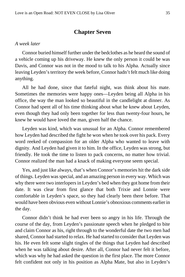### **Chapter Seven**

#### <span id="page-34-0"></span>*A week later*

Connor buried himself further under the bedclothes as he heard the sound of a vehicle coming up his driveway. He knew the only person it could be was Davis, and Connor was not in the mood to talk to his Alpha. Actually since leaving Leyden's territory the week before, Connor hadn't felt much like doing anything.

All he had done, since that fateful night, was think about his mate. Sometimes the memories were happy ones—Leyden being all Alpha in his office, the way the man looked so beautiful in the candlelight at dinner. As Connor had spent all of his time thinking about what he knew about Leyden, even though they had only been together for less than twenty-four hours, he knew he would have loved the man, given half the chance.

Leyden was kind, which was unusual for an Alpha. Connor remembered how Leyden had described the fight he won when he took over his pack. Every word reeked of compassion for an older Alpha who wanted to leave with dignity. And Leyden had given it to him. In the office, Leyden was strong, but friendly. He took the time to listen to pack concerns, no matter how trivial. Connor realized the man had a knack of making everyone seem special.

Yes, and just like always, that's when Connor's memories hit the dark side of things. Leyden was special, and an amazing person in every way. Which was why there were two interlopers in Leyden's bed when they got home from their date. It was clear from first glance that both Trixie and Lonnie were comfortable in Leyden's space, so they had clearly been there before. That would have been obvious even without Lonnie's obnoxious comments earlier in the day.

Connor didn't think he had ever been so angry in his life. Through the course of the day, from Leyden's passionate speech when he pledged to bite and claim Connor as his, right through to the wonderful date the two men had shared, Connor had started to relax. He had started to consider that Leyden was his. He even felt some slight tingles of the things that Leyden had described when he was talking about desire. After all, Connor had never felt it before, which was why he had asked the question in the first place. The more Connor felt confident not only in his position as Alpha Mate, but also in Leyden's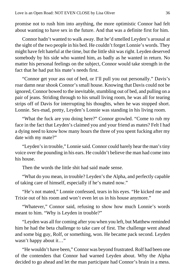promise not to rush him into anything, the more optimistic Connor had felt about wanting to have sex in the future. And that was a definite first for him.

Connor hadn't wanted to walk away. But he'd smelled Leyden's arousal at the sight of the two people in his bed. He couldn't forget Lonnie's words. They might have felt hateful at the time, but the little shit was right. Leyden deserved somebody by his side who wanted him, as badly as he wanted in return. No matter his personal feelings on the subject, Connor would take strength in the fact that he had put his mate's needs first.

"Connor get your ass out of bed, or I'll pull you out personally." Davis's roar damn near shook Connor's small house. Knowing that Davis could not be ignored, Connor bowed to the inevitable, stumbling out of bed, and pulling on a pair of jeans. Striding through to his small living room, he was all for tearing strips off of Davis for interrupting his thoughts, when he was stopped short. Lonnie. Sex-mad, pretty, Leyden's Lonnie was standing in his living room.

"What the fuck are you doing here?" Connor growled. "Come to rub my face in the fact that Leyden's claimed you and your friend as mates? Felt I had a dying need to know how many hours the three of you spent fucking after my date with my mate?"

"Leyden's in trouble," Lonnie said. Connor could barely hear the man's tiny voice over the pounding in his ears. He couldn't believe the man had come into his house.

Then the words the little shit had said made sense.

"What do you mean, in trouble? Leyden's the Alpha, and perfectly capable of taking care of himself, especially if he's mated now."

"He's not mated," Lonnie confessed, tears in his eyes. "He kicked me and Trixie out of his room and won't even let us in his house anymore."

"Whatever," Connor said, refusing to show how much Lonnie's words meant to him. "Why is Leyden in trouble?"

"Leyden was all for coming after you when you left, but Matthew reminded him he had the beta challenge to take care of first. The challenge went ahead and some big guy, Rolf, or something, won. He became pack second. Leyden wasn't happy about it…"

"He wouldn't have been," Connor was beyond frustrated. Rolf had been one of the contenders that Connor had warned Leyden about. Why the Alpha decided to go ahead and let the man participate had Connor's brain in a mess.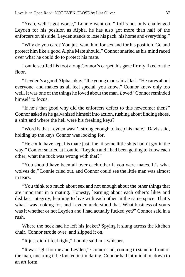"Yeah, well it got worse," Lonnie went on. "Rolf's not only challenged Leyden for his position as Alpha, he has also got more than half of the enforcers on his side. Leyden stands to lose his pack, his home and everything."

"Why do you care? You just want him for sex and for his position. Go and protect him like a good Alpha Mate should," Connor snarled as his mind raced over what he could do to protect his mate.

Lonnie scuffed his foot along Connor's carpet, his gaze firmly fixed on the floor.

"Leyden's a good Alpha, okay," the young man said at last. "He cares about everyone, and makes us all feel special, you know." Connor knew only too well. It was one of the things he loved about the man. *Loved?* Connor reminded himself to focus.

"If he's that good why did the enforcers defect to this newcomer then?" Connor asked as he galvanized himself into action, rushing about finding shoes, a shirt and where the hell were his freaking keys?

"Word is that Leyden wasn't strong enough to keep his mate," Davis said, holding up the keys Connor was looking for.

"He could have kept his mate just fine, if some little shits hadn't got in the way," Connor snarled at Lonnie. "Leyden and I had been getting to know each other, what the fuck was wrong with that?"

"You should have been all over each other if you were mates. It's what wolves do," Lonnie cried out, and Connor could see the little man was almost in tears.

"You think too much about sex and not enough about the other things that are important in a mating. Honesty, learning about each other's likes and dislikes, integrity, learning to live with each other in the same space. That's what I was looking for, and Leyden understood that. What business of yours was it whether or not Leyden and I had actually fucked yet?" Connor said in a rush.

Where the heck had he left his jacket? Spying it slung across the kitchen chair, Connor strode over, and slipped it on.

"It just didn't feel right," Lonnie said in a whisper.

"It was right for me and Leyden," Connor said, coming to stand in front of the man, uncaring if he looked intimidating. Connor had intimidation down to an art form.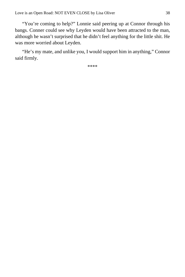"You're coming to help?" Lonnie said peering up at Connor through his bangs. Conner could see why Leyden would have been attracted to the man, although he wasn't surprised that he didn't feel anything for the little shit. He was more worried about Leyden.

"He's my mate, and unlike you, I would support him in anything," Connor said firmly.

\*\*\*\*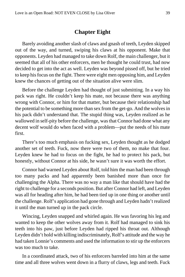### **Chapter Eight**

<span id="page-38-0"></span>Barely avoiding another slash of claws and gnash of teeth, Leyden skipped out of the way, and turned, swiping his claws at his opponent. Make that opponents. Leyden had managed to take down Rolf, the main challenger, but it seemed that all of his other enforcers, men he thought he could trust, had now decided to get into the act as well. Leyden was beyond pissed off, but he tried to keep his focus on the fight. There were eight men opposing him, and Leyden knew the chances of getting out of the situation alive were slim.

Before the challenge Leyden had thought of just submitting. In a way his pack was right. He couldn't keep his mate, not because there was anything wrong with Connor, or him for that matter, but because their relationship had the potential to be something more than sex from the get-go. And the wolves in his pack didn't understand that. The stupid thing was, Leyden realized as he wallowed in self-pity before the challenge, was that Connor had done what any decent wolf would do when faced with a problem—put the needs of his mate first.

There's too much emphasis on fucking sex, Leyden thought as he dodged another set of teeth. Fuck, now there were two of them, no make that four. Leyden knew he had to focus on the fight, he had to protect his pack, but honestly, without Connor at his side, he wasn't sure it was worth the effort.

Connor had warned Leyden about Rolf, told him the man had been through too many packs and had apparently been banished more than once for challenging the Alpha. There was no way a man like that should have had the right to challenge for a seconds position. But after Connor had left, and Leyden was all for heading after him, he had been tied up in one thing or another until the challenge. Rolf's application had gone through and Leyden hadn't realized it until the man turned up in the pack circle.

Wincing, Leyden snapped and whirled again. He was favoring his leg and wanted to keep the other wolves away from it. Rolf had managed to sink his teeth into his paw, just before Leyden had ripped his throat out. Although Leyden didn't hold with killing indiscriminately, Rolf's attitude and the way he had taken Lonnie's comments and used the information to stir up the enforcers was too much to take.

In a coordinated attack, two of his enforcers barreled into him at the same time and all three wolves went down in a flurry of claws, legs and teeth. Fuck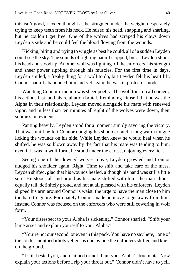this isn't good, Leyden thought as he struggled under the weight, desperately trying to keep teeth from his neck. He raised his head, snapping and snarling, but he couldn't get free. One of the wolves had scraped his claws down Leyden's side and he could feel the blood flowing from the wounds.

Kicking, biting and trying to wiggle as best he could, all of a sudden Leyden could see the sky. The sounds of fighting hadn't stopped, but… Leyden shook his head and stood up. Another wolf was fighting off the enforcers, his strength and sheer power rippling through his muscles. For the first time in days, Leyden smiled, a freaky thing for a wolf to do, but Leyden felt his heart lift. Connor hadn't abandoned him and yet again, he was in protector mode.

Watching Connor in action was sheer poetry. The wolf took on all comers, his actions fast, and his retaliation brutal. Reminding himself that he was the Alpha in their relationship, Leyden moved alongside his mate with renewed vigor, and in less than ten minutes all eight of the wolves were down, their submission evident.

Panting heavily, Leyden stood for a moment simply savoring the victory. That was until he felt Connor nudging his shoulder, and a long warm tongue licking the wounds on his side. While Leyden knew he would heal when he shifted, he was so blown away by the fact that his mate was tending to him, even if it was in wolf form, he stood under the caress, enjoying every lick.

Seeing one of the downed wolves move, Leyden growled and Connor nudged his shoulder again. Right. Time to shift and take care of the mess. Leyden shifted, glad that his wounds healed, although his hand was still a little sore. He stood tall and proud as his mate shifted with him, the man almost equally tall, definitely proud, and not at all pleased with his enforcers. Leyden slipped his arm around Connor's waist, the urge to have the man close to him too hard to ignore. Fortunately Connor made no move to get away from him. Instead Connor was focused on the enforcers who were still cowering in wolf form.

"Your disrespect to your Alpha is sickening," Connor snarled. "Shift your lame asses and explain yourself to your Alpha."

"You're not our second, or even in this pack. You have no say here," one of the louder mouthed idiots yelled, as one by one the enforcers shifted and knelt on the ground.

"I still bested you, and claimed or not, I am your Alpha's true mate. Now explain your actions before I rip your throat out." Connor didn't have to yell.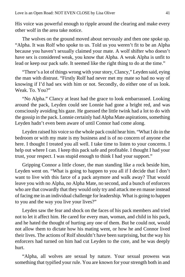His voice was powerful enough to ripple around the clearing and make every other wolf in the area take notice.

The wolves on the ground moved about nervously and then one spoke up. "Alpha. It was Rolf who spoke to us. Told us you weren't fit to be an Alpha because you haven't sexually claimed your mate. A wolf shifter who doesn't have sex is considered weak, you know that Alpha. A weak Alpha is unfit to lead or keep our pack safe. It seemed like the right thing to do at the time."

"There's a lot of things wrong with your story, Clancy," Leyden said, eying the man with distrust. "Firstly Rolf had never met my mate so had no way of knowing if I'd had sex with him or not. Secondly, do either one of us look. Weak. To. You?"

"No Alpha." Clancy at least had the grace to look embarrassed. Looking around the pack, Leyden could see Lonnie had gone a bright red, and was consciously avoiding his gaze. He guessed the little twink had a lot to do with the gossip in the pack. Lonnie certainly had Alpha Mate aspirations, something Leyden hadn't even been aware of until Connor had come along.

Leyden raised his voice so the whole pack could hear him. "What I do in the bedroom or with my mate is my business and is of no concern of anyone else here. I thought I treated you all well. I take time to listen to your concerns. I help out where I can. I keep this pack safe and profitable. I thought I had your trust, your respect. I was stupid enough to think I had your support."

Gripping Connor a little closer, the man standing like a rock beside him, Leyden went on. "What is going to happen to you all if I decide that I don't want to live with this farce of a pack anymore and walk away? That would leave you with no Alpha, no Alpha Mate, no second, and a bunch of enforcers who are that cowardly that they would only try and attack me en masse instead of facing me in an individual challenge for leadership. What is going to happen to you and the way you live your lives?"

Leyden saw the fear and shock on the faces of his pack members and tried not to let it affect him. He cared for every man, woman, and child in his pack, and he hated the thought of hurting any one of them. But he could not, would not allow them to dictate how his mating went, or how he and Connor lived their lives. The actions of Rolf shouldn't have been surprising, but the way his enforcers had turned on him had cut Leyden to the core, and he was deeply hurt.

"Alpha, all wolves are sexual by nature. Your sexual prowess was something that typified your rule. You are known for your strength both in and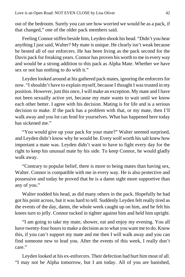out of the bedroom. Surely you can see how worried we would be as a pack, if that changed," one of the older pack members said.

Feeling Connor stiffen beside him, Leyden shook his head. "Didn't you hear anything I just said, Walter? My mate is unique. He clearly isn't weak because he bested all of our enforcers. He has been living as the pack second for the Davis pack for freaking years. Connor has proven his worth to me in every way and would be a strong addition to this pack as Alpha Mate. Whether we have sex or not has nothing to do with it."

Leyden looked around at his gathered pack mates, ignoring the enforcers for now. "I shouldn't have to explain myself, because I thought I was trusted in my position. However, just this once, I will make an exception. My mate and I have not been sexually active yet, because my mate wants to wait until we know each other better. I agree with his decision. Mating is for life and is a serious decision to make. If the pack has a problem with that, or my mate, then I'll walk away and you lot can fend for yourselves. What has happened here today has sickened me."

"You would give up your pack for your mate?" Walter seemed surprised, and Leyden didn't know why he would be. Every wolf worth his salt knew how important a mate was. Leyden didn't want to have to fight every day for the right to keep his unusual mate by his side. To keep Connor, he would gladly walk away.

"Contrary to popular belief, there is more to being mates than having sex, Walter. Connor is compatible with me in every way. He is also protective and possessive and today he proved that he is a damn sight more supportive than any of you."

Walter nodded his head, as did many others in the pack. Hopefully he had got his point across, but it was hard to tell. Suddenly Leyden felt really tired as the events of the day, damn, the whole week caught up on him, and he felt his knees turn to jelly. Connor tucked in tighter against him and held him upright.

"I am going to take my mate, shower, eat and enjoy my evening. You all have twenty-four hours to make a decision as to what you want me to do. Know this, if you can't support my mate and me then I will walk away and you can find someone new to lead you. After the events of this week, I really don't care."

Leyden looked at his ex-enforcers. Their defection had hurt him most of all. "I may not be Alpha tomorrow, but I am today. All of you are banished,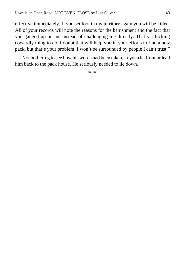effective immediately. If you set foot in my territory again you will be killed. All of your records will note the reasons for the banishment and the fact that you ganged up on me instead of challenging me directly. That's a fucking cowardly thing to do. I doubt that will help you in your efforts to find a new pack, but that's your problem. I won't be surrounded by people I can't trust."

Not bothering to see how his words had been taken, Leyden let Connor lead him back to the pack house. He seriously needed to lie down.

\*\*\*\*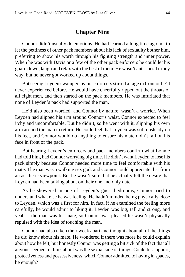#### **Chapter Nine**

<span id="page-43-0"></span>Connor didn't usually do emotions. He had learned a long time ago not to let the pettiness of other pack members about his lack of sexuality bother him, preferring to show his worth through his fighting strength and inner power. When he was with Davis or a few of the other pack enforcers he could let his guard down, laugh and relax with the best of them. He wasn't anti-social in any way, but he never got worked up about things.

But seeing Leyden swamped by his enforcers stirred a rage in Connor he'd never experienced before. He would have cheerfully ripped out the throats of all eight men, and then started on the pack members. He was infuriated that none of Leyden's pack had supported the man.

He'd also been worried, and Connor by nature, wasn't a worrier. When Leyden had slipped his arm around Connor's waist, Connor expected to feel itchy and uncomfortable. But he didn't, so he went with it, slipping his own arm around the man in return. He could feel that Leyden was still unsteady on his feet, and Connor would do anything to ensure his mate didn't fall on his face in front of the pack.

But hearing Leyden's enforcers and pack members confirm what Lonnie had told him, had Connor worrying big time. He didn't want Leyden to lose his pack simply because Connor needed more time to feel comfortable with his mate. The man was a walking sex god, and Connor could appreciate that from an aesthetic viewpoint. But he wasn't sure that he actually felt the desire that Leyden had been talking about on their one and only date.

As he showered in one of Leyden's guest bedrooms, Connor tried to understand what else he was feeling. He hadn't minded being physically close to Leyden, which was a first for him. In fact, if he examined the feeling more carefully, he would admit to liking it. Leyden was big, tall and strong, and yeah… the man was his mate, so Connor was pleased he wasn't physically repulsed with the idea of touching the man.

Connor had also taken their week apart and thought about all of the things he did know about his mate. He wondered if there was more he could explain about how he felt, but honestly Connor was getting a bit sick of the fact that all anyone seemed to think about was the sexual side of things. Could his support, protectiveness and possessiveness, which Connor admitted to having in spades, be enough?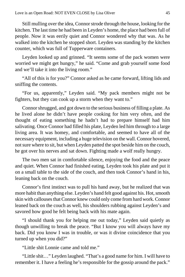Still mulling over the idea, Connor strode through the house, looking for the kitchen. The last time he had been in Leyden's home, the place had been full of people. Now it was eerily quiet and Connor wondered why that was. As he walked into the kitchen he stopped short. Leyden was standing by the kitchen counter, which was full of Tupperware containers.

Leyden looked up and grinned. "It seems some of the pack women were worried we might get hungry," he said. "Come and grab yourself some food and we'll take it into the living room."

"All of this is for you?" Connor asked as he came forward, lifting lids and sniffing the contents.

"For us, apparently," Leyden said. "My pack members might not be fighters, but they can cook up a storm when they want to."

Connor shrugged, and got down to the serious business of filling a plate. As he lived alone he didn't have people cooking for him very often, and the thought of eating something he hadn't had to prepare himself had him salivating. Once Connor had filled his plate, Leyden led him through to a large living area. It was homey, and comfortable, and seemed to have all of the necessary equipment, including a huge television on the wall. Connor hovered, not sure where to sit, but when Leyden patted the spot beside him on the couch, he got over his nerves and sat down. Fighting made a wolf really hungry.

The two men sat in comfortable silence, enjoying the food and the peace and quiet. When Connor had finished eating, Leyden took his plate and put it on a small table to the side of the couch, and then took Connor's hand in his, leaning back on the couch.

Connor's first instinct was to pull his hand away, but he realized that was more habit than anything else. Leyden's hand felt good against his. Hot, smooth skin with callouses that Connor knew could only come from hard work. Connor leaned back on the couch as well, his shoulders rubbing against Leyden's and savored how good he felt being back with his mate again.

"I should thank you for helping me out today," Leyden said quietly as though unwilling to break the peace. "But I know you will always have my back. Did you know I was in trouble, or was it divine coincidence that you turned up when you did?"

"Little shit Lonnie came and told me."

"Little shit…" Leyden laughed. "That's a good name for him. I will have to remember it. I have a feeling he's responsible for the gossip around the pack."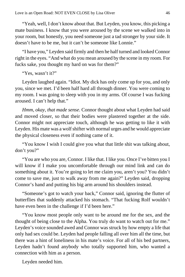"Yeah, well, I don't know about that. But Leyden, you know, this picking a mate business. I know that you were aroused by the scene we walked into in your room, but honestly, you need someone just a tad stronger by your side. It doesn't have to be me, but it can't be someone like Lonnie."

"I have you," Leyden said firmly and then he half turned and looked Connor right in the eyes. "And what do you mean aroused by the scene in my room. For fucks sake, you thought my hard on was for them?"

"Yes, wasn't it?"

Leyden laughed again. "Idiot. My dick has only come up for you, and only you, since we met. I'd been half hard all through dinner. You were coming to my room. I was going to sleep with you in my arms. Of course I was fucking aroused. I can't help that."

*Hmm, okay, that made sense.* Connor thought about what Leyden had said and moved closer, so that their bodies were plastered together at the side. Connor might not appreciate touch, although he was getting to like it with Leyden. His mate was a wolf shifter with normal urges and he would appreciate the physical closeness even if nothing came of it.

"You know I wish I could give you what that little shit was talking about, don't you?"

"You are who you are, Connor. I like that. I like you. Once I've bitten you I will know if I make you uncomfortable through our mind link and can do something about it. You're going to let me claim you, aren't you? You didn't come to save me, just to walk away from me again?" Leyden said, dropping Connor's hand and putting his big arm around his shoulders instead.

"Someone's got to watch your back," Connor said, ignoring the flutter of butterflies that suddenly attacked his stomach. "That fucking Rolf wouldn't have even been in the challenge if I'd been here."

"You know most people only want to be around me for the sex, and the thought of being close to the Alpha. You truly do want to watch out for me." Leyden's voice sounded awed and Connor was struck by how empty a life that only had sex could be. Leyden had people falling all over him all the time, but there was a hint of loneliness in his mate's voice. For all of his bed partners, Leyden hadn't found anybody who totally supported him, who wanted a connection with him as a person.

Leyden needed him.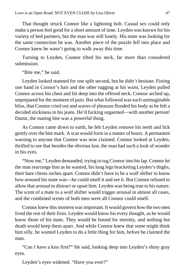That thought struck Connor like a lightning bolt. Casual sex could only make a person feel good for a short amount of time. Leyden was known for his variety of bed partners, but the man was still lonely. His mate was looking for the same connection he was. Another piece of the puzzle fell into place and Connor knew he wasn't going to walk away this time.

Turning to Leyden, Connor tilted his neck, far more than considered submission.

"Bite me," he said.

Leyden looked stunned for one split second, but he didn't hesitate. Fisting one hand in Connor's hair and the other tugging at his waist, Leyden pulled Connor across his chest and bit deep into the offered neck. Connor arched up, unprepared for the moment of pain. But what followed was such unimaginable bliss, that Connor cried out and waves of pleasure flooded his body as he felt a decided stickiness in his jeans. He'd fucking orgasmed—with another person! Damn, the mating bite was a powerful thing.

As Connor came down to earth, he felt Leyden remove his teeth and lick gently over the bite mark. A scar would form in a matter of hours. A permanent warning to anyone that Connor was now claimed. Connor looked at Leyden, thrilled to see that besides the obvious lust, the man had such a look of wonder in his eyes.

"Now me," Leyden demanded, trying to tug Connor into his lap. Connor let the man rearrange him as he wanted, his long legs bracketing Leyden's thighs, their bare chests inches apart. Connor didn't have to be a wolf shifter to know how aroused his mate was—he could smell it and see it. But Connor refused to allow that arousal to distract or upset him. Leyden was being true to his nature. The scent of a mate to a wolf shifter would trigger arousal in almost all cases, and the combined scents of both men were all Connor could smell.

Connor knew this moment was important. It would govern how the two men lived the rest of their lives. Leyden would know his every thought, as he would know those of his mate. They would be bound for eternity, and nothing but death would keep them apart. And while Connor knew that some might think him silly, he wanted Leyden to do a little thing for him, before he claimed the man.

"Can I have a kiss first?" He said, looking deep into Leyden's shiny gray eyes.

Leyden's eyes widened. "Have you ever?"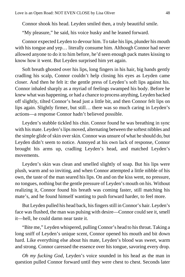Connor shook his head. Leyden smiled then, a truly beautiful smile.

"My pleasure," he said, his voice husky and he leaned forward.

Connor expected Leyden to devour him. To take his lips, plunder his mouth with his tongue and yep… literally consume him. Although Connor had never allowed anyone to do it to him before, he'd seen enough pack mates kissing to know how it went. But Leyden surprised him yet again.

Soft breath ghosted over his lips, long fingers in his hair, big hands gently cradling his scalp, Connor couldn't help closing his eyes as Leyden came closer. And then he felt it: the gentle press of Leyden's soft lips against his. Connor inhaled sharply as a myriad of feelings swamped his body. Before he knew what was happening, or had a chance to process anything, Leyden backed off slightly, tilted Connor's head just a little bit, and then Connor felt lips on lips again. Slightly firmer, but still… there was so much caring in Leyden's actions—a response Connor hadn't believed possible.

Leyden's stubble tickled his chin. Connor found he was breathing in sync with his mate. Leyden's lips moved, alternating between the softest nibbles and the simple glide of skin over skin. Connor was unsure of what he should do, but Leyden didn't seem to notice. Annoyed at his own lack of response, Connor brought his arms up, cradling Leyden's head, and matched Leyden's movements.

Leyden's skin was clean and smelled slightly of soap. But his lips were plush, warm and so inviting, and when Connor attempted a little nibble of his own, the taste of the man seared his lips. On and on the kiss went, no pressure, no tongues, nothing but the gentle pressure of Leyden's mouth on his. Without realizing it, Connor found his breath was coming faster, still matching his mate's, and he found himself wanting to push forward harder, to feel more.

But Leyden pulled his head back, his fingers still in Connor's hair. Leyden's face was flushed, the man was pulsing with desire—Connor could see it, smell it—hell, he could damn near taste it.

"Bite me," Leyden whispered, pulling Connor's head to his throat. Taking a long sniff of Leyden's unique scent, Connor opened his mouth and bit down hard. Like everything else about his mate, Leyden's blood was sweet, warm and strong. Connor caressed the essence over his tongue, savoring every drop.

*Oh my fucking God,* Leyden's voice sounded in his head as the man in question pulled Connor forward until they were chest to chest. Seconds later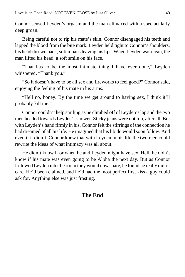Connor sensed Leyden's orgasm and the man climaxed with a spectacularly deep groan.

Being careful not to rip his mate's skin, Connor disengaged his teeth and lapped the blood from the bite mark. Leyden held tight to Connor's shoulders, his head thrown back, soft moans leaving his lips. When Leyden was clean, the man lifted his head, a soft smile on his face.

"That has to be the most intimate thing I have ever done," Leyden whispered. "Thank you."

"So it doesn't have to be all sex and fireworks to feel good?" Connor said, enjoying the feeling of his mate in his arms.

"Hell no, honey. By the time we get around to having sex, I think it'll probably kill me."

Connor couldn't help smiling as he climbed off of Leyden's lap and the two men headed towards Leyden's shower. Sticky jeans were not fun, after all. But with Leyden's hand firmly in his, Connor felt the stirrings of the connection he had dreamed of all his life. He imagined that his libido would soon follow. And even if it didn't, Connor knew that with Leyden in his life the two men could rewrite the ideas of what intimacy was all about.

He didn't know if or when he and Leyden might have sex. Hell, he didn't know if his mate was even going to be Alpha the next day. But as Connor followed Leyden into the room they would now share, he found he really didn't care. He'd been claimed, and he'd had the most perfect first kiss a guy could ask for. Anything else was just frosting.

### **The End**